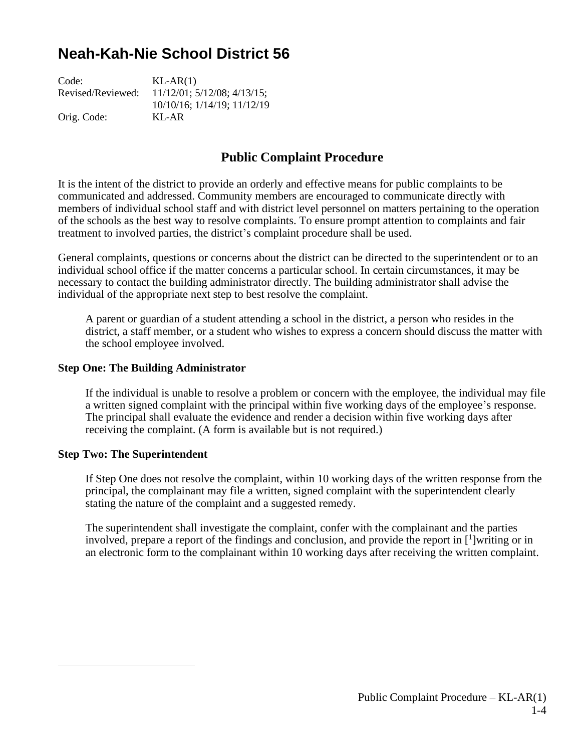# **Neah-Kah-Nie School District 56**

| Code:             | $KL-AR(1)$                           |
|-------------------|--------------------------------------|
| Revised/Reviewed: | $11/12/01$ ; $5/12/08$ ; $4/13/15$ ; |
|                   | 10/10/16; 1/14/19; 11/12/19          |
| Orig. Code:       | $KI - AR$                            |

## **Public Complaint Procedure**

It is the intent of the district to provide an orderly and effective means for public complaints to be communicated and addressed. Community members are encouraged to communicate directly with members of individual school staff and with district level personnel on matters pertaining to the operation of the schools as the best way to resolve complaints. To ensure prompt attention to complaints and fair treatment to involved parties, the district's complaint procedure shall be used.

General complaints, questions or concerns about the district can be directed to the superintendent or to an individual school office if the matter concerns a particular school. In certain circumstances, it may be necessary to contact the building administrator directly. The building administrator shall advise the individual of the appropriate next step to best resolve the complaint.

A parent or guardian of a student attending a school in the district, a person who resides in the district, a staff member, or a student who wishes to express a concern should discuss the matter with the school employee involved.

### **Step One: The Building Administrator**

If the individual is unable to resolve a problem or concern with the employee, the individual may file a written signed complaint with the principal within five working days of the employee's response. The principal shall evaluate the evidence and render a decision within five working days after receiving the complaint. (A form is available but is not required.)

#### **Step Two: The Superintendent**

If Step One does not resolve the complaint, within 10 working days of the written response from the principal, the complainant may file a written, signed complaint with the superintendent clearly stating the nature of the complaint and a suggested remedy.

The superintendent shall investigate the complaint, confer with the complainant and the parties involved, prepare a report of the findings and conclusion, and provide the report in  $\mathfrak{[}^1$ ]writing or in an electronic form to the complainant within 10 working days after receiving the written complaint.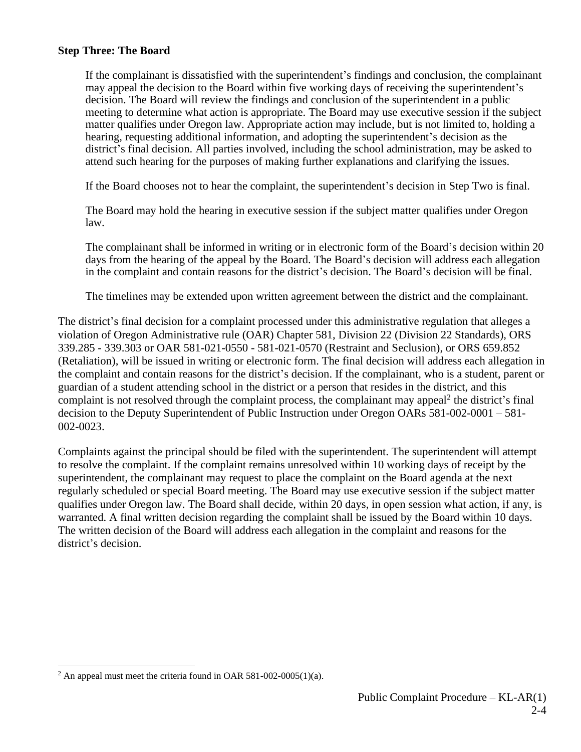### **Step Three: The Board**

If the complainant is dissatisfied with the superintendent's findings and conclusion, the complainant may appeal the decision to the Board within five working days of receiving the superintendent's decision. The Board will review the findings and conclusion of the superintendent in a public meeting to determine what action is appropriate. The Board may use executive session if the subject matter qualifies under Oregon law. Appropriate action may include, but is not limited to, holding a hearing, requesting additional information, and adopting the superintendent's decision as the district's final decision. All parties involved, including the school administration, may be asked to attend such hearing for the purposes of making further explanations and clarifying the issues.

If the Board chooses not to hear the complaint, the superintendent's decision in Step Two is final.

The Board may hold the hearing in executive session if the subject matter qualifies under Oregon law.

The complainant shall be informed in writing or in electronic form of the Board's decision within 20 days from the hearing of the appeal by the Board. The Board's decision will address each allegation in the complaint and contain reasons for the district's decision. The Board's decision will be final.

The timelines may be extended upon written agreement between the district and the complainant.

The district's final decision for a complaint processed under this administrative regulation that alleges a violation of Oregon Administrative rule (OAR) Chapter 581, Division 22 (Division 22 Standards), ORS 339.285 - 339.303 or OAR 581-021-0550 - 581-021-0570 (Restraint and Seclusion), or ORS 659.852 (Retaliation), will be issued in writing or electronic form. The final decision will address each allegation in the complaint and contain reasons for the district's decision. If the complainant, who is a student, parent or guardian of a student attending school in the district or a person that resides in the district, and this complaint is not resolved through the complaint process, the complainant may appeal<sup>2</sup> the district's final decision to the Deputy Superintendent of Public Instruction under Oregon OARs 581-002-0001 – 581- 002-0023.

Complaints against the principal should be filed with the superintendent. The superintendent will attempt to resolve the complaint. If the complaint remains unresolved within 10 working days of receipt by the superintendent, the complainant may request to place the complaint on the Board agenda at the next regularly scheduled or special Board meeting. The Board may use executive session if the subject matter qualifies under Oregon law. The Board shall decide, within 20 days, in open session what action, if any, is warranted. A final written decision regarding the complaint shall be issued by the Board within 10 days. The written decision of the Board will address each allegation in the complaint and reasons for the district's decision.

<sup>&</sup>lt;sup>2</sup> An appeal must meet the criteria found in OAR 581-002-0005(1)(a).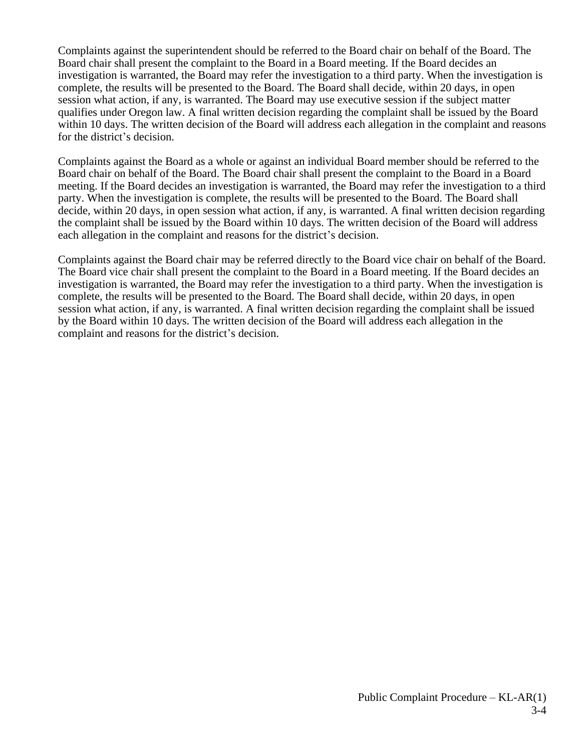Complaints against the superintendent should be referred to the Board chair on behalf of the Board. The Board chair shall present the complaint to the Board in a Board meeting. If the Board decides an investigation is warranted, the Board may refer the investigation to a third party. When the investigation is complete, the results will be presented to the Board. The Board shall decide, within 20 days, in open session what action, if any, is warranted. The Board may use executive session if the subject matter qualifies under Oregon law. A final written decision regarding the complaint shall be issued by the Board within 10 days. The written decision of the Board will address each allegation in the complaint and reasons for the district's decision.

Complaints against the Board as a whole or against an individual Board member should be referred to the Board chair on behalf of the Board. The Board chair shall present the complaint to the Board in a Board meeting. If the Board decides an investigation is warranted, the Board may refer the investigation to a third party. When the investigation is complete, the results will be presented to the Board. The Board shall decide, within 20 days, in open session what action, if any, is warranted. A final written decision regarding the complaint shall be issued by the Board within 10 days. The written decision of the Board will address each allegation in the complaint and reasons for the district's decision.

Complaints against the Board chair may be referred directly to the Board vice chair on behalf of the Board. The Board vice chair shall present the complaint to the Board in a Board meeting. If the Board decides an investigation is warranted, the Board may refer the investigation to a third party. When the investigation is complete, the results will be presented to the Board. The Board shall decide, within 20 days, in open session what action, if any, is warranted. A final written decision regarding the complaint shall be issued by the Board within 10 days. The written decision of the Board will address each allegation in the complaint and reasons for the district's decision.